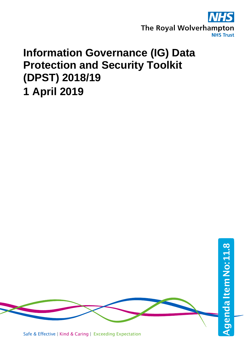

# **Information Governance (IG) Data Protection and Security Toolkit (DPST) 2018/19 1 April 2019**



Safe & Effective | Kind & Caring | Exceeding Expectation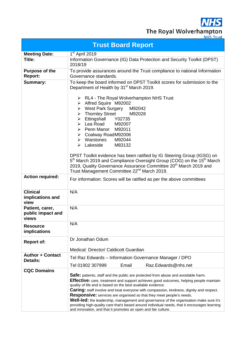**NHS** The Royal Wolverhampton

|                                               | <b>Trust Board Report</b>                                                                                                                                                                                                                                                                                                                                                                                                                                                                                                                                                                                                                                                                         |
|-----------------------------------------------|---------------------------------------------------------------------------------------------------------------------------------------------------------------------------------------------------------------------------------------------------------------------------------------------------------------------------------------------------------------------------------------------------------------------------------------------------------------------------------------------------------------------------------------------------------------------------------------------------------------------------------------------------------------------------------------------------|
| <b>Meeting Date:</b>                          | 1 <sup>st</sup> April 2019                                                                                                                                                                                                                                                                                                                                                                                                                                                                                                                                                                                                                                                                        |
| Title:                                        | Information Governance (IG) Data Protection and Security Toolkit (DPST)<br>2018/19                                                                                                                                                                                                                                                                                                                                                                                                                                                                                                                                                                                                                |
| <b>Purpose of the</b><br>Report:              | To provide assurances around the Trust compliance to national Information<br>Governance standards.                                                                                                                                                                                                                                                                                                                                                                                                                                                                                                                                                                                                |
| Summary:                                      | To keep the board informed on DPST Toolkit scores for submission to the<br>Department of Health by 31 <sup>st</sup> March 2019.<br>> RL4 - The Royal Wolverhampton NHS Trust                                                                                                                                                                                                                                                                                                                                                                                                                                                                                                                      |
|                                               | > Alfred Squire M92002<br>> West Park Surgery M92042<br>> Thornley Street M92028<br>> Ettingshall Y02735                                                                                                                                                                                                                                                                                                                                                                                                                                                                                                                                                                                          |
|                                               | > Lea Road M92007<br>> Penn Manor M92011<br>▶ Coalway RoadM92006<br>$\triangleright$ Warstones<br>M92044<br>$\triangleright$ Lakeside<br>M83132                                                                                                                                                                                                                                                                                                                                                                                                                                                                                                                                                   |
|                                               | DPST Toolkit evidence has been ratified by IG Steering Group (IGSG) on<br>5 <sup>th</sup> March 2019 and Compliance Oversight Group (COG) on the 15 <sup>th</sup> March<br>2019, Quality Governance Assurance Committee 20 <sup>th</sup> March 2019 and<br>Trust Management Committee 22 <sup>nd</sup> March 2019.                                                                                                                                                                                                                                                                                                                                                                                |
| <b>Action required:</b>                       | For information: Scores will be ratified as per the above committees                                                                                                                                                                                                                                                                                                                                                                                                                                                                                                                                                                                                                              |
| <b>Clinical</b><br>implications and<br>view   | N/A                                                                                                                                                                                                                                                                                                                                                                                                                                                                                                                                                                                                                                                                                               |
| Patient, carer,<br>public impact and<br>views | N/A                                                                                                                                                                                                                                                                                                                                                                                                                                                                                                                                                                                                                                                                                               |
| <b>Resource</b><br>implications               | N/A                                                                                                                                                                                                                                                                                                                                                                                                                                                                                                                                                                                                                                                                                               |
| <b>Report of:</b>                             | Dr Jonathan Odum<br>Medical: Director/ Caldicott Guardian                                                                                                                                                                                                                                                                                                                                                                                                                                                                                                                                                                                                                                         |
| <b>Author + Contact</b><br><b>Details:</b>    | Tel Raz Edwards – Information Governance Manager / DPO                                                                                                                                                                                                                                                                                                                                                                                                                                                                                                                                                                                                                                            |
|                                               | Tel 01902 307999<br>Email<br>Raz.Edwards@nhs.net                                                                                                                                                                                                                                                                                                                                                                                                                                                                                                                                                                                                                                                  |
| <b>CQC Domains</b>                            | Safe: patients, staff and the public are protected from abuse and avoidable harm.<br><b>Effective:</b> care, treatment and support achieves good outcomes, helping people maintain<br>quality of life and is based on the best available evidence.<br><b>Caring:</b> staff involve and treat everyone with compassion, kindness, dignity and respect.<br><b>Responsive:</b> services are organised so that they meet people's needs.<br>Well-led: the leadership, management and governance of the organisation make sure it's<br>providing high-quality care that's based around individual needs, that it encourages learning<br>and innovation, and that it promotes an open and fair culture. |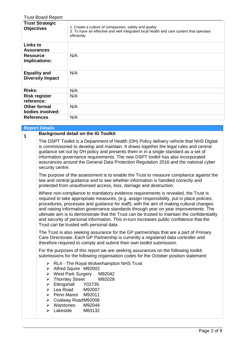| <b>Trust Board Report</b>                      |                                                                                                                                                                |
|------------------------------------------------|----------------------------------------------------------------------------------------------------------------------------------------------------------------|
| <b>Trust Strategic</b><br><b>Objectives</b>    | 1. Create a culture of compassion, safety and quality<br>3. To have an effective and well integrated local health and care system that operates<br>efficiently |
| <b>Links to</b><br><b>Assurances</b>           |                                                                                                                                                                |
| <b>Resource</b><br>Implications:               | N/A                                                                                                                                                            |
| <b>Equality and</b><br><b>Diversity Impact</b> | N/A                                                                                                                                                            |
| <b>Risks:</b>                                  | N/A                                                                                                                                                            |
| <b>Risk register</b><br>reference:             | N/A                                                                                                                                                            |
| <b>Other formal</b><br>bodies involved:        | N/A                                                                                                                                                            |
| <b>References</b>                              | N/A                                                                                                                                                            |

|   | <b>Report Details</b>                                                                                                                                                                                                                                                                                                                                                                                                                                                                                                                                                                                   |  |  |  |  |  |  |  |  |  |
|---|---------------------------------------------------------------------------------------------------------------------------------------------------------------------------------------------------------------------------------------------------------------------------------------------------------------------------------------------------------------------------------------------------------------------------------------------------------------------------------------------------------------------------------------------------------------------------------------------------------|--|--|--|--|--|--|--|--|--|
| 1 | <b>Background detail on the IG Toolkit</b>                                                                                                                                                                                                                                                                                                                                                                                                                                                                                                                                                              |  |  |  |  |  |  |  |  |  |
|   | The DSPT Toolkit is a Department of Health (DH) Policy delivery vehicle that NHS Digital<br>is commissioned to develop and maintain. It draws together the legal rules and central<br>guidance set out by DH policy and presents them in in a single standard as a set of<br>information governance requirements. The new DSPT toolkit has also incorporated<br>assurances around the General Data Protection Regulation 2016 and the national cyber<br>security centre.                                                                                                                                |  |  |  |  |  |  |  |  |  |
|   | The purpose of the assessment is to enable the Trust to measure compliance against the<br>law and central guidance and to see whether information is handled correctly and<br>protected from unauthorised access, loss, damage and destruction.                                                                                                                                                                                                                                                                                                                                                         |  |  |  |  |  |  |  |  |  |
|   | Where non-compliance to mandatory evidence requirements is revealed, the Trust is<br>required to take appropriate measures, (e.g. assign responsibility, put in place policies,<br>procedures, processes and guidance for staff), with the aim of making cultural changes<br>and raising information governance standards through year on year improvements. The<br>ultimate aim is to demonstrate that the Trust can be trusted to maintain the confidentiality<br>and security of personal information. This in-turn increases public confidence that the<br>Trust can be trusted with personal data. |  |  |  |  |  |  |  |  |  |
|   | The Trust is also seeking assurance for the GP partnerships that are a part of Primary<br>Care Directorate. Each GP Partnership is currently a registered data controller and<br>therefore required to comply and submit their own toolkit submission.                                                                                                                                                                                                                                                                                                                                                  |  |  |  |  |  |  |  |  |  |
|   | For the purposes of this report we are seeking assurances on the following toolkit<br>submissions for the following organisation codes for the October position statement:                                                                                                                                                                                                                                                                                                                                                                                                                              |  |  |  |  |  |  |  |  |  |
|   | $\triangleright$ RL4 - The Royal Wolverhampton NHS Trust<br>> Alfred Squire M92002<br>$\triangleright$ West Park Surgery<br>M92042<br><b>Thornley Street</b><br>M92028<br>$\blacktriangleright$<br>Ettingshall<br>Y02735<br>$\blacktriangleright$<br>$\triangleright$ Lea Road<br>M92007<br>> Penn Manor M92011<br>▶ Coalway RoadM92006<br>$\triangleright$ Warstones<br>M92044<br>Lakeside<br>M83132<br>⋗                                                                                                                                                                                              |  |  |  |  |  |  |  |  |  |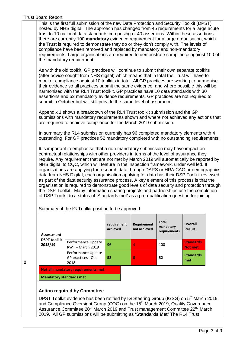This is the first full submission of the new Data Protection and Security Toolkit (DPST) hosted by NHS digital. The approach has changed from 45 requirements for a large acute trust to 10 national data standards comprising of 40 assertions. Within these assertions there are currently 100 **mandatory** evidence requirement for a large organisation, which the Trust is required to demonstrate they do or they don't comply with. The levels of compliance have been removed and replaced by mandatory and non-mandatory requirements. Large organisations are required to demonstrate compliance against 100 of the mandatory requirement.

As with the old toolkit, GP practices will continue to submit their own separate toolkits (after advice sought from NHS digital) which means that in total the Trust will have to monitor compliance against 10 toolkits in total. All GP practices are working to harmonise their evidence so all practices submit the same evidence, and where possible this will be harmonised with the RL4 Trust toolkit. GP practices have 10 data standards with 30 assertions and 52 mandatory evidence requirements. GP practices are not required to submit in October but will still provide the same level of assurance.

Appendix 1 shows a breakdown of the RL4 Trust toolkit submission and the GP submissions with mandatory requirements shown and where not achieved any actions that are required to achieve compliance for the March 2019 submission.

In summary the RL4 submission currently has 96 completed mandatory elements with 4 outstanding. For GP practices 52 mandatory completed with no outstanding requirements.

It is important to emphasise that a non-mandatory submission may have impact on contractual relationships with other providers in terms of the level of assurance they require. Any requirement that are not met by March 2019 will automatically be reported by NHS digital to CQC, which will feature in the inspection framework, under well led. If organisations are applying for research data through DARS or HRA CAG or demographics data from NHS Digital, each organisation applying for data has their DSP Toolkit reviewed as part of the data security assurance process. A key element of this process is that the organisation is required to demonstrate good levels of data security and protection through the DSP Toolkit. Many information sharing projects and partnerships use the completion of DSP Toolkit to a status of 'Standards met' as a pre-qualification question for joining.

| Assessment                     |                                                  | requirement<br>achieved | Requirement<br>not achieved | <b>Total</b><br>mandatory<br>requirements | <b>Overall</b><br><b>Result</b>    |
|--------------------------------|--------------------------------------------------|-------------------------|-----------------------------|-------------------------------------------|------------------------------------|
| <b>DSPT toolkit</b><br>2018/19 | Performance Update<br>RWT-March 2019             | 96                      | 4                           | 100                                       | <b>Standards</b><br><b>Not met</b> |
|                                | Performance Update<br>GP practices - Oct<br>2018 | 52                      | $\bf{0}$                    | 52                                        | <b>Standards</b><br>met            |
|                                | Not all mandatory requirements met               |                         |                             |                                           |                                    |
| <b>Mandatory standards met</b> |                                                  |                         |                             |                                           |                                    |

Summary of the IG Toolkit position to be approved.

**2**

# **Action required by Committee**

DPST Toolkit evidence has been ratified by IG Steering Group (IGSG) on 5<sup>th</sup> March 2019 and Compliance Oversight Group (COG) on the 15<sup>th</sup> March 2019, Quality Governance Assurance Committee 20<sup>th</sup> March 2019 and Trust management Committee 22<sup>nd</sup> March 2019. All GP submissions will be submitting as **'Standards Met'** The RL4 Trust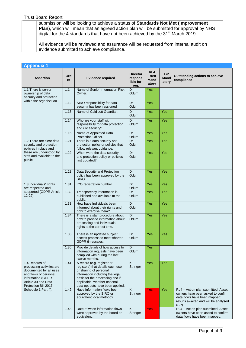submission will be looking to achieve a status of **Standards Not Met (Improvement Plan)**, which will mean that an agreed action plan will be submitted for approval by NHS digital for the 4 standards that have not been achieved by the 31<sup>st</sup> March 2019.

All evidence will be reviewed and assurance will be requested from internal audit on evidence submitted to achieve compliance.

| <b>Appendix 1</b>                                                                                                                                                   |           |                                                                                                                                                                                                                                    |                                                |                                      |                            |                                                                                                                                                          |  |
|---------------------------------------------------------------------------------------------------------------------------------------------------------------------|-----------|------------------------------------------------------------------------------------------------------------------------------------------------------------------------------------------------------------------------------------|------------------------------------------------|--------------------------------------|----------------------------|----------------------------------------------------------------------------------------------------------------------------------------------------------|--|
| <b>Assertion</b>                                                                                                                                                    | Ord<br>er | <b>Evidence required</b>                                                                                                                                                                                                           | <b>Director</b><br>respons<br>ible for<br>req. | RL4<br><b>Trust</b><br>Mand<br>atory | <b>GP</b><br>Mand<br>atory | <b>Outstanding actions to achieve</b><br>compliance                                                                                                      |  |
| 1.1 There is senior<br>ownership of data<br>security and protection                                                                                                 | 1.1       | Name of Senior Information Risk<br>Owner.                                                                                                                                                                                          | Dr<br>Odum                                     | Yes                                  |                            |                                                                                                                                                          |  |
| within the organisation.                                                                                                                                            | 1.12      | SIRO responsibility for data<br>security has been assigned.                                                                                                                                                                        | Dr<br>Odum                                     | Yes                                  |                            |                                                                                                                                                          |  |
|                                                                                                                                                                     | 1.13      | Name of Caldicott Guardian.                                                                                                                                                                                                        | Dr<br>Odum                                     | Yes                                  | <b>Yes</b>                 |                                                                                                                                                          |  |
|                                                                                                                                                                     | 1.14      | Who are your staff with<br>responsibility for data protection<br>and / or security?                                                                                                                                                | Dr<br>Odum                                     | Yes                                  | Yes                        |                                                                                                                                                          |  |
|                                                                                                                                                                     | 1.16      | Name of Appointed Data<br>Protection Officer.                                                                                                                                                                                      | Dr<br>Odum                                     | Yes                                  | Yes                        |                                                                                                                                                          |  |
| 1.2 There are clear data<br>security and protection<br>policies in place and                                                                                        | 1.21      | There is a data security and<br>protection policy or policies that<br>follow relevant guidance.                                                                                                                                    | Dr<br>Odum                                     | Yes                                  | Yes                        |                                                                                                                                                          |  |
| these are understood by<br>staff and available to the<br>public.                                                                                                    | 1.22      | When were the data security<br>and protection policy or policies<br>last updated?                                                                                                                                                  | Dr<br>Odum                                     | Yes                                  | Yes                        |                                                                                                                                                          |  |
|                                                                                                                                                                     | 1.23      | Data Security and Protection<br>policy has been approved by the<br><b>SIRO</b>                                                                                                                                                     | Dr<br>Odum                                     | Yes                                  | <b>Yes</b>                 |                                                                                                                                                          |  |
| 1.3 Individuals' rights<br>are respected and                                                                                                                        | 1.31      | ICO registration number.                                                                                                                                                                                                           | Dr<br>Odum                                     | Yes                                  | Yes                        |                                                                                                                                                          |  |
| supported (GDPR Article<br>12-22).                                                                                                                                  | 1.32      | Transparency information is<br>published and available to the<br>public.                                                                                                                                                           | Dr<br>Odum                                     | Yes                                  | Yes                        |                                                                                                                                                          |  |
|                                                                                                                                                                     | 1.33      | How have Individuals been<br>informed about their rights and<br>how to exercise them?                                                                                                                                              | Dr<br>Odum                                     | Yes                                  | Yes                        |                                                                                                                                                          |  |
|                                                                                                                                                                     | 1.34      | There is a staff procedure about<br>how to provide information about<br>processing and individuals'<br>rights at the correct time.                                                                                                 | Dr<br>Odum                                     | Yes                                  | Yes                        |                                                                                                                                                          |  |
|                                                                                                                                                                     | 1.35      | There is an updated subject<br>access process to meet shorter<br>GDPR timescales.                                                                                                                                                  | Dr<br>Odum                                     | Yes                                  | <b>Yes</b>                 |                                                                                                                                                          |  |
|                                                                                                                                                                     | 1.36      | Provide details of how access to<br>information requests have been<br>complied with during the last<br>twelve months.                                                                                                              | Dr<br>Odum                                     | Yes                                  |                            |                                                                                                                                                          |  |
| 1.4 Records of<br>processing activities are<br>documented for all uses<br>and flows of personal<br>information (GDPR<br>Article 30 and Data<br>Protection Bill 2017 | 1.41      | A record (e.g. register or<br>registers) that details each use<br>or sharing of personal<br>information including the legal<br>basis for the processing and if<br>applicable, whether national<br>data opt outs have been applied. | K<br>Stringer                                  | Yes                                  | Yes                        |                                                                                                                                                          |  |
| Schedule 1 Part 4).                                                                                                                                                 | 1.42      | Have information flows been<br>approved by the SIRO or<br>equivalent local method?                                                                                                                                                 | K<br>Stringer                                  | <b>Yes</b>                           | Yes                        | RL4 - Action plan submitted. Asset<br>owners have been asked to confirm<br>data flows have been mapped;<br>results awaited and will be analysed.<br>(SP) |  |
|                                                                                                                                                                     | 1.43      | Date of when information flows<br>were approved by the board or<br>equivalent.                                                                                                                                                     | K<br>Stringer                                  | <b>Yes</b>                           |                            | RL4 - Action plan submitted. Asset<br>owners have been asked to confirm<br>data flows have been mapped;                                                  |  |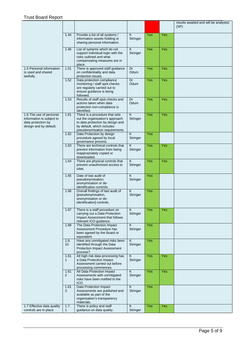|                                                                                                      |                         |                                                                                                                                                                       |                                            |            |     | results awaited and will be analysed.<br>(SP) |
|------------------------------------------------------------------------------------------------------|-------------------------|-----------------------------------------------------------------------------------------------------------------------------------------------------------------------|--------------------------------------------|------------|-----|-----------------------------------------------|
|                                                                                                      | 1.44                    | Provide a list of all systems /<br>information assets holding or<br>sharing personal information.                                                                     | K<br>Stringer                              | Yes        | Yes |                                               |
|                                                                                                      | 1.45                    | List of systems which do not<br>support individual login with the<br>risks outlined and what<br>compensating measures are in<br>place.                                | $\overline{\mathsf{K}}$<br>Stringer        | Yes        | Yes |                                               |
| 1.5 Personal information<br>is used and shared<br>lawfully.                                          | 1.51                    | There is approved staff guidance<br>on confidentiality and data<br>protection issues.                                                                                 | Dr<br>Odum                                 | <b>Yes</b> | Yes |                                               |
|                                                                                                      | 1.52                    | Data protection compliance<br>monitoring / staff spot checks<br>are regularly carried out to<br>ensure guidance is being<br>followed.                                 | Dr<br>Odum                                 | Yes        | Yes |                                               |
|                                                                                                      | 1.53                    | Results of staff spot checks and<br>actions taken when data<br>protection non-compliance is<br>identified.                                                            | Dr<br>Odum                                 | Yes        | Yes |                                               |
| 1.6 The use of personal<br>information is subject to<br>data protection by<br>design and by default. | 1.61                    | There is a procedure that sets<br>out the organisation's approach<br>to data protection by design and<br>by default, which includes<br>pseudonymisation requirements. | $\overline{\mathsf{K}}$<br>Stringer        | <b>Yes</b> | Yes |                                               |
|                                                                                                      | 1.62                    | Data Protection by design<br>procedure agreed by local<br>governance process.                                                                                         | $\overline{\mathsf{K}}$<br>Stringer        | Yes        |     |                                               |
|                                                                                                      | 1.63                    | There are technical controls that<br>prevent information from being<br>inappropriately copied or<br>downloaded.                                                       | Κ<br>Stringer                              | Yes        | Yes |                                               |
|                                                                                                      | 1.64                    | There are physical controls that<br>prevent unauthorised access to<br>sites.                                                                                          | $\overline{\mathsf{K}}$<br>Stringer        | <b>Yes</b> | Yes |                                               |
|                                                                                                      | 1.65                    | Date of last audit of<br>pseudonymisation,<br>anonymisation or de-<br>identification controls.                                                                        | $\overline{\mathsf{K}}$<br>Stringer        | Yes        |     |                                               |
|                                                                                                      | 1.66                    | Overall findings of last audit of<br>[pseudonymisation,<br>anonymisation or de-<br>identification] controls.                                                          | $\overline{\mathsf{K}}$<br>Stringer        | <b>Yes</b> |     |                                               |
|                                                                                                      | 1.67                    | There is a staff procedure on<br>carrying out a Data Protection<br>Impact Assessment that follows<br>relevant ICO guidance.                                           | $\overline{\mathsf{K}}$<br><b>Stringer</b> | Yes        | Yes |                                               |
|                                                                                                      | 1.68                    | The Data Protection Impact<br>Assessment Procedure has<br>been agreed by the Board or<br>equivalent.                                                                  | $\overline{\mathsf{K}}$<br>Stringer        | Yes        |     |                                               |
|                                                                                                      | 1.6.<br>10 <sup>°</sup> | Have any unmitigated risks been<br>identified through the Data<br><b>Protection Impact Assessment</b><br>process?                                                     | $\overline{\mathsf{K}}$<br>Stringer        | Yes        |     |                                               |
|                                                                                                      | 1.61<br>$\mathbf{1}$    | All high risk data processing has<br>a Data Protection Impact<br>Assessment carried out before<br>processing commences.                                               | K<br>Stringer                              | Yes        | Yes |                                               |
|                                                                                                      | 1.61<br>2               | All Data Protection Impact<br>Assessments with unmitigated<br>risks have been notified to the<br>ICO.                                                                 | Κ<br>Stringer                              | Yes        | Yes |                                               |
|                                                                                                      | 1.61<br>3               | Data Protection Impact<br>Assessments are published and<br>available as part of the<br>organisation's transparency<br>materials.                                      | K<br>Stringer                              | Yes        |     |                                               |
| 1.7 Effective data quality<br>controls are in place                                                  | 1.7.<br>1               | There is policy and staff<br>guidance on data quality.                                                                                                                | $\overline{\mathsf{K}}$<br>Stringer        | Yes        | Yes |                                               |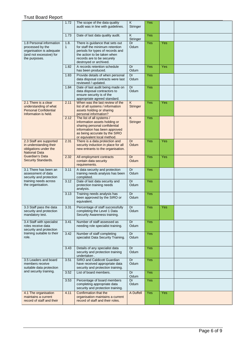|                                                                                                                      | 1.72                 | The scope of the data quality<br>audit was in line with guidelines.                                                                                                                           | $\overline{\mathsf{K}}$<br>Stringer | Yes        |     |  |
|----------------------------------------------------------------------------------------------------------------------|----------------------|-----------------------------------------------------------------------------------------------------------------------------------------------------------------------------------------------|-------------------------------------|------------|-----|--|
|                                                                                                                      | 1.73                 | Date of last data quality audit.                                                                                                                                                              | K<br>Stringer                       | <b>Yes</b> |     |  |
| 1.8 Personal information<br>processed by the<br>organisation is adequate<br>(and not excessive) for<br>the purposes. | 1.8.<br>$\mathbf{1}$ | There is guidance that sets out<br>for staff the minimum retention<br>periods for types of records and<br>the action to be taken when<br>records are to be securely<br>destroyed or archived. | Dr<br>Odum                          | Yes        | Yes |  |
|                                                                                                                      | 1.82                 | A records retention schedule<br>has been produced.                                                                                                                                            | Dr<br>Odum                          | Yes        | Yes |  |
|                                                                                                                      | 1.83                 | Provide details of when personal<br>data disposal contracts were last<br>reviewed / updated.                                                                                                  | Dr<br>Odum                          | Yes        |     |  |
|                                                                                                                      | 1.84                 | Date of last audit being made on<br>data disposal contractors to<br>ensure security is of the<br>appropriate agreed standard.                                                                 | Dr<br>Odum                          | Yes        |     |  |
| 2.1 There is a clear<br>understanding of what<br><b>Personal Confidential</b><br>Information is held.                | 2.11                 | When was the last review of the<br>list of all systems / information<br>assets holding or sharing<br>personal information?                                                                    | K<br><b>Stringer</b>                | Yes        | Yes |  |
|                                                                                                                      | 2.12                 | The list of all systems /<br>information assets holding or<br>sharing personal confidential<br>information has been approved<br>as being accurate by the SIRO<br>or equivalent local method.  | $\overline{K}$<br>Stringer          | Yes        |     |  |
| 2.3 Staff are supported<br>in understanding their<br>obligations under the<br><b>National Data</b>                   | 2.31                 | There is a data protection and<br>security induction in place for all<br>new entrants to the organisation.                                                                                    | Dr<br>Odum                          | Yes        | Yes |  |
| Guardian's Data<br>Security Standards.                                                                               | 2.32                 | All employment contracts<br>contain data security<br>requirements.                                                                                                                            | Dr<br>Odum                          | <b>Yes</b> | Yes |  |
| 3.1 There has been an<br>assessment of data<br>security and protection                                               | 3.11                 | A data security and protection<br>training needs analysis has been<br>completed.                                                                                                              | Dr<br>Odum                          | Yes        |     |  |
| training needs across<br>the organisation.                                                                           | 3.12                 | Date of last data security and<br>protection training needs<br>analysis.                                                                                                                      | Dr<br>Odum                          | <b>Yes</b> |     |  |
|                                                                                                                      | 3.13                 | Training needs analysis has<br>been approved by the SIRO or<br>equivalent.                                                                                                                    | Dr<br>Odum                          | <b>Yes</b> |     |  |
| 3.3 Staff pass the data<br>security and protection<br>mandatory test.                                                | 3.31                 | Percentage of staff successfully<br>completing the Level 1 Data<br>Security Awareness training.                                                                                               | Dr<br>Odum                          | Yes        | Yes |  |
| 3.4 Staff with specialist<br>roles receive data<br>security and protection<br>training suitable to their<br>role.    | 3.41                 | Number of staff assessed as<br>needing role specialist training.                                                                                                                              | Dr<br>Odum                          | Yes        |     |  |
|                                                                                                                      | 3.42                 | Number of staff completing<br>specialist Data Security Training.                                                                                                                              | Dr<br>Odum                          | Yes        |     |  |
|                                                                                                                      | 3.43                 | Details of any specialist data<br>security and protection training<br>undertaken.                                                                                                             | Dr<br>Odum                          | Yes        |     |  |
| 3.5 Leaders and board<br>members receive<br>suitable data protection                                                 | 3.51                 | SIRO and Caldicott Guardian<br>have received appropriate data<br>security and protection training.                                                                                            | Dr<br>Odum                          | <b>Yes</b> |     |  |
| and security training.                                                                                               | 3.52                 | List of board members.                                                                                                                                                                        | Dr<br>Odum                          | Yes        |     |  |
|                                                                                                                      | 3.53                 | Percentage of board members<br>completing appropriate data<br>security and protection training.                                                                                               | Dr<br>Odum                          | Yes        |     |  |
| 4.1 The organisation<br>maintains a current<br>record of staff and their                                             | 4.11                 | Confirmation that the<br>organisation maintains a current<br>record of staff and their roles.                                                                                                 | A Duffell                           | Yes        | Yes |  |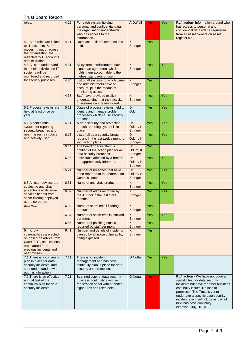| roles.                                                                                                                                                   | 4.12 | For each system holding<br>personal and confidential data,<br>the organisation understands<br>who has access to the<br>information. | A Duffell                                  | Yes        | Yes | <b>RL4 action-</b> Information around who<br>has access to personal and<br>confidential data will be requested<br>from all asset owners on asset<br>register (DL)                                                                                                                                                |
|----------------------------------------------------------------------------------------------------------------------------------------------------------|------|-------------------------------------------------------------------------------------------------------------------------------------|--------------------------------------------|------------|-----|------------------------------------------------------------------------------------------------------------------------------------------------------------------------------------------------------------------------------------------------------------------------------------------------------------------|
| 4.2 Staff roles are linked<br>to IT accounts. Staff<br>moves in, out or across<br>the organisation are<br>reflected by IT accounts<br>administration.    | 4.21 | Date last audit of user accounts<br>held.                                                                                           | $\overline{K}$<br><b>Stringer</b>          | <b>Yes</b> |     |                                                                                                                                                                                                                                                                                                                  |
| 4.3 All staff understand<br>that their activities on IT<br>systems will be<br>monitored and recorded                                                     | 4.31 | All system administrators have<br>signed an agreement which<br>holds them accountable to the<br>highest standards of use.           | K<br>Stringer                              | Yes        | Yes |                                                                                                                                                                                                                                                                                                                  |
| for security purposes.                                                                                                                                   | 4.34 | List of all systems to which users<br>and administrators have an<br>account, plus the means of<br>monitoring access.                | K<br><b>Stringer</b>                       | <b>Yes</b> |     |                                                                                                                                                                                                                                                                                                                  |
|                                                                                                                                                          | 4.35 | Staff have provided explicit<br>understanding that their activity<br>of systems can be monitored.                                   | $\overline{\mathsf{K}}$<br><b>Stringer</b> | Yes        | Yes |                                                                                                                                                                                                                                                                                                                  |
| 5.1 Process reviews are<br>held at least once per<br>year.                                                                                               | 5.11 | Dates of process reviews held to<br>identify and manage problem<br>processes which cause security<br>breaches.                      | Dr<br>Odum                                 | <b>Yes</b> | Yes |                                                                                                                                                                                                                                                                                                                  |
| 6.1 A confidential<br>system for reporting<br>security breaches and                                                                                      | 6.11 | A data security and protection<br>breach reporting system is in<br>place.                                                           | Dr<br>Odum/K<br><b>Stringer</b>            | Yes        | Yes |                                                                                                                                                                                                                                                                                                                  |
| near misses is in place<br>and actively used.                                                                                                            | 6.13 | List of all data security breach<br>reports in the last twelve months<br>with action plans.                                         | Dr<br>Odum/K<br><b>Stringer</b>            | <b>Yes</b> | Yes |                                                                                                                                                                                                                                                                                                                  |
|                                                                                                                                                          | 6.14 | The board or equivalent is<br>notified of the action plan for all<br>data security breaches.                                        | Dr<br>Odum/K<br><b>Stringer</b>            | Yes        |     |                                                                                                                                                                                                                                                                                                                  |
|                                                                                                                                                          | 6.15 | Individuals affected by a breach<br>are appropriately informed.                                                                     | Dr<br>Odum/K<br><b>Stringer</b>            | <b>Yes</b> | Yes |                                                                                                                                                                                                                                                                                                                  |
|                                                                                                                                                          | 6.24 | Number of breaches that have<br>been reported to the Information<br>Commissioner                                                    | Dr<br>Odum/K<br><b>Stringer</b>            | <b>Yes</b> | Yes |                                                                                                                                                                                                                                                                                                                  |
| 6.3 All user devices are<br>subject to anti-virus                                                                                                        | 6.31 | Name of anti-virus product.                                                                                                         | $\overline{\mathsf{K}}$<br><b>Stringer</b> | Yes        | Yes |                                                                                                                                                                                                                                                                                                                  |
| protections while email<br>services benefit from<br>spam filtering deployed<br>at the corporate                                                          | 6.32 | Number of alerts recorded by<br>the AV tool in the last three<br>months.                                                            | K<br><b>Stringer</b>                       | Yes        | Yes |                                                                                                                                                                                                                                                                                                                  |
| gateway.                                                                                                                                                 | 6.33 | Name of spam email filtering<br>product.                                                                                            | $\sf K$<br><b>Stringer</b>                 | Yes        |     |                                                                                                                                                                                                                                                                                                                  |
|                                                                                                                                                          | 6.34 | Number of spam emails blocked<br>per month.                                                                                         | K<br><b>Stringer</b>                       | Yes        | Yes |                                                                                                                                                                                                                                                                                                                  |
|                                                                                                                                                          | 6.35 | Number of phishing emails<br>reported by staff per month.                                                                           | K<br><b>Stringer</b>                       | <b>Yes</b> |     |                                                                                                                                                                                                                                                                                                                  |
| 6.4 Known<br>vulnerabilities are acted<br>on based on advice from<br>CareCERT, and lessons<br>are learned from<br>previous incidents and<br>near misses. | 6.41 | Number and details of incidents<br>caused by a known vulnerability<br>being exploited.                                              | K<br>Stringer                              | Yes        |     |                                                                                                                                                                                                                                                                                                                  |
| 7.1 There is a continuity<br>plan in place for data<br>security incidents, and<br>staff understand how to<br>put this into action.                       | 7.11 | There is an incident<br>management and business<br>continuity plan in place for data<br>security and protection.                    | <b>G</b> Nuttall                           | Yes        | Yes |                                                                                                                                                                                                                                                                                                                  |
| 7.2 There is an effective<br>annual test of the<br>continuity plan for data<br>security incidents.                                                       | 7.21 | Scanned copy of data security<br>business continuity exercise<br>registration sheet with attendee<br>signatures and roles held.     | <b>G Nuttall</b>                           | Yes        |     | RL4 action - We have not done a<br>specific test for data security<br>incidents but have for other business<br>continuity issues like loss of<br>premises. The Trust is yet to<br>undertake a specific data security<br>incident exercise/include as part of<br>next business continuity<br>exercise.(July 2019) |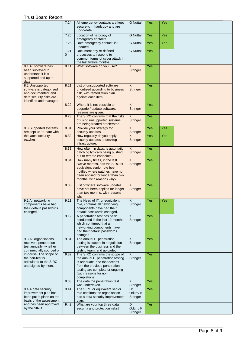|                                                                                                                         | 7.24      | All emergency contacts are kept<br>securely, in hardcopy and are<br>up-to-date.                                                                                                                                   | <b>G</b> Nuttall                  | Yes | <b>Yes</b> |  |
|-------------------------------------------------------------------------------------------------------------------------|-----------|-------------------------------------------------------------------------------------------------------------------------------------------------------------------------------------------------------------------|-----------------------------------|-----|------------|--|
|                                                                                                                         | 7.25      | Location of hardcopy of<br>emergency contacts.                                                                                                                                                                    | <b>G Nuttall</b>                  | Yes | <b>Yes</b> |  |
|                                                                                                                         | 7.26      | Date emergency contact list<br>updated.                                                                                                                                                                           | <b>G</b> Nuttall                  | Yes | <b>Yes</b> |  |
|                                                                                                                         | 7.21<br>0 | Document any re-defined<br>processes to respond to<br>common forms of cyber attack in<br>the last twelve months.                                                                                                  | <b>G</b> Nuttall                  | Yes |            |  |
| 8.1 All software has<br>been surveyed to<br>understand if it is<br>supported and up to<br>date.                         | 8.11      | What software do you use?                                                                                                                                                                                         | $\overline{K}$<br><b>Stringer</b> | Yes |            |  |
| 8.2 Unsupported<br>software is categorised<br>and documented, and<br>data security risks are<br>identified and managed. | 8.21      | List of unsupported software<br>prioritised according to business<br>risk, with remediation plan<br>against each item.                                                                                            | K<br><b>Stringer</b>              | Yes |            |  |
|                                                                                                                         | 8.22      | Where it is not possible to<br>upgrade / update software,<br>reasons are given.                                                                                                                                   | K<br><b>Stringer</b>              | Yes |            |  |
|                                                                                                                         | 8.23      | The SIRO confirms that the risks<br>of using unsupported systems<br>are being treated or tolerated.                                                                                                               | K<br><b>Stringer</b>              | Yes |            |  |
| 8.3 Supported systems<br>are kept up-to-date with                                                                       | 8.31      | Provide your strategy for<br>security updates.                                                                                                                                                                    | $\overline{K}$<br><b>Stringer</b> | Yes | <b>Yes</b> |  |
| the latest security<br>patches.                                                                                         | 8.32      | How regularly do you apply<br>security updates to desktop<br>infrastructure.                                                                                                                                      | K<br><b>Stringer</b>              | Yes | Yes        |  |
|                                                                                                                         | 8.33      | How often, in days, is automatic<br>patching typically being pushed<br>out to remote endpoints?                                                                                                                   | K<br><b>Stringer</b>              | Yes |            |  |
|                                                                                                                         | 8.34      | How many times, in the last<br>twelve months, has the SIRO or<br>equivalent senior role been<br>notified where patches have not<br>been applied for longer than two<br>months, with reasons why?                  | $\overline{K}$<br><b>Stringer</b> | Yes |            |  |
|                                                                                                                         | 8.35      | List of where software updates<br>have not been applied for longer<br>than two months, with reasons<br>why.                                                                                                       | $\overline{K}$<br><b>Stringer</b> | Yes |            |  |
| 9.1 All networking<br>components have had<br>their default passwords<br>changed.                                        | 9.11      | The Head of IT, or equivalent<br>role, confirms all networking<br>components have had their<br>default passwords changed.                                                                                         | K<br>Stringer                     | Yes | <b>Yes</b> |  |
|                                                                                                                         | 9.12      | A penetration test has been<br>conducted in the last 12 months,<br>which confirmed that all<br>networking components have<br>had their default passwords<br>changed                                               | Κ<br>Stringer                     | Yes |            |  |
| 9.3 All organisations<br>receive a penetration<br>test annually, whether<br>commercially sourced or                     | 9.31      | The annual IT penetration<br>testing is scoped in negotiation<br>between the business and the<br>testing team, and uploaded.                                                                                      | K<br>Stringer                     | Yes |            |  |
| in-house. The scope of<br>the pen-test is<br>articulated to the SIRO<br>and signed by them.                             | 9.32      | The SIRO confirms the scope of<br>the annual IT penetration testing<br>is adequate, and that actions<br>from the previous penetration<br>testing are complete or ongoing<br>(with reasons for non<br>completion). | K<br>Stringer                     | Yes |            |  |
|                                                                                                                         | 9.33      | The date the penetration test<br>was undertaken.                                                                                                                                                                  | K<br>Stringer                     | Yes |            |  |
| 9.4 A data security<br>improvement plan has<br>been put in place on the<br>basis of the assessment                      | 9.41      | The SIRO or equivalent senior<br>role confirms the organisation<br>has a data security improvement<br>plan.                                                                                                       | Dr<br>Odum/K<br>Stringer          | Yes |            |  |
| and has been approved<br>by the SIRO.                                                                                   | 9.42      | What are your top three data<br>security and protection risks?                                                                                                                                                    | Dr<br>Odum/K<br>Stringer          | Yes |            |  |